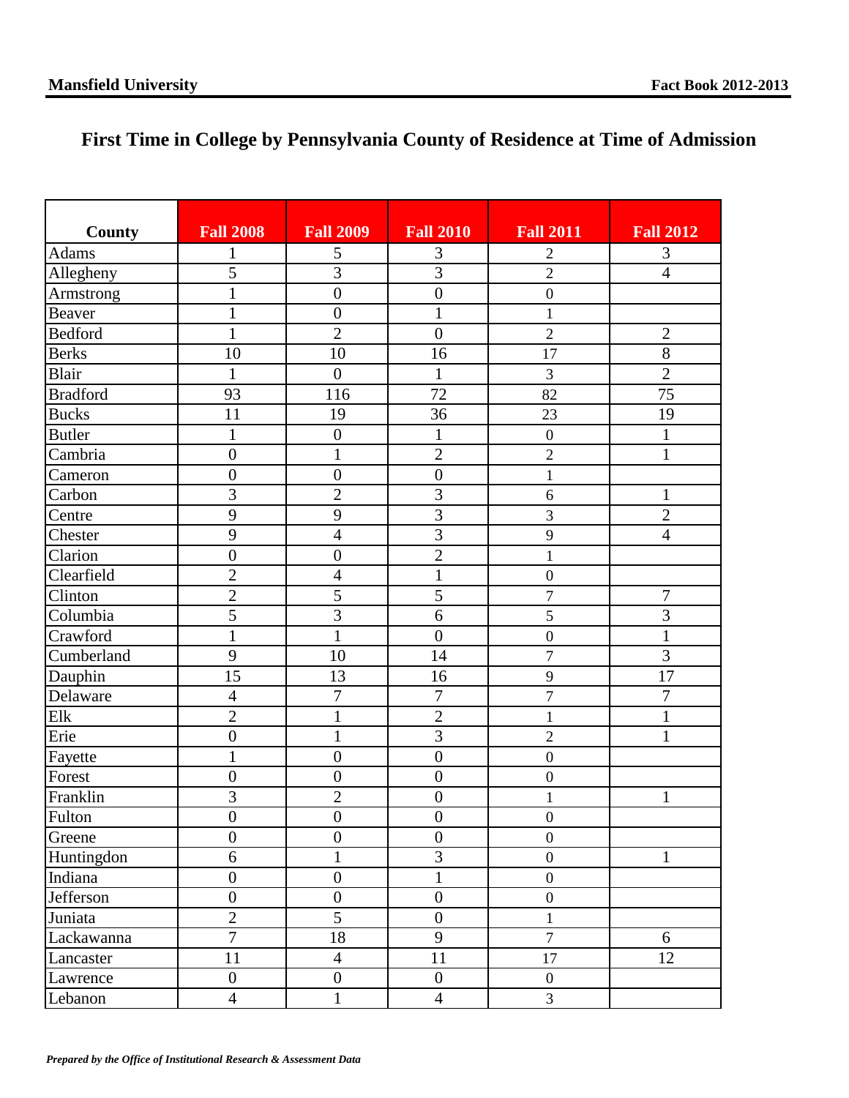## **First Time in College by Pennsylvania County of Residence at Time of Admission**

| County          | <b>Fall 2008</b> | <b>Fall 2009</b> | <b>Fall 2010</b> | <b>Fall 2011</b> | <b>Fall 2012</b> |
|-----------------|------------------|------------------|------------------|------------------|------------------|
| Adams           | 1                | 5                | 3                | $\overline{2}$   | 3                |
| Allegheny       | $\overline{5}$   | $\overline{3}$   | $\overline{3}$   | $\overline{2}$   | $\overline{4}$   |
| Armstrong       | $\mathbf{1}$     | $\overline{0}$   | $\overline{0}$   | $\overline{0}$   |                  |
| <b>Beaver</b>   | $\mathbf{1}$     | $\boldsymbol{0}$ | $\mathbf{1}$     | $\mathbf{1}$     |                  |
| <b>Bedford</b>  | $\mathbf{1}$     | $\overline{2}$   | $\mathbf{0}$     | $\overline{2}$   | $\mathbf{2}$     |
| <b>Berks</b>    | 10               | 10               | 16               | 17               | $\overline{8}$   |
| Blair           | $\mathbf{1}$     | $\boldsymbol{0}$ | $\mathbf{1}$     | 3                | $\overline{2}$   |
| <b>Bradford</b> | 93               | 116              | $\overline{72}$  | 82               | 75               |
| <b>Bucks</b>    | 11               | 19               | $\overline{36}$  | 23               | 19               |
| <b>Butler</b>   | $\mathbf{1}$     | $\boldsymbol{0}$ | $\mathbf{1}$     | $\boldsymbol{0}$ | $\mathbf{1}$     |
| Cambria         | $\boldsymbol{0}$ | $\mathbf{1}$     | $\overline{2}$   | $\overline{2}$   | $\mathbf{1}$     |
| Cameron         | $\boldsymbol{0}$ | $\boldsymbol{0}$ | $\mathbf{0}$     | $\mathbf{1}$     |                  |
| Carbon          | $\overline{3}$   | $\overline{c}$   | $\overline{3}$   | 6                | $\mathbf{1}$     |
| Centre          | 9                | 9                | $\overline{3}$   | 3                | $\overline{2}$   |
| Chester         | 9                | 4                | $\overline{3}$   | 9                | $\overline{4}$   |
| Clarion         | $\boldsymbol{0}$ | $\boldsymbol{0}$ | $\overline{2}$   | $\mathbf{1}$     |                  |
| Clearfield      | $\overline{2}$   | $\overline{4}$   | $\mathbf{1}$     | $\boldsymbol{0}$ |                  |
| Clinton         | $\overline{2}$   | 5                | $\overline{5}$   | $\overline{7}$   | $\overline{7}$   |
| Columbia        | $\overline{5}$   | 3                | 6                | 5                | $\overline{3}$   |
| Crawford        | $\mathbf{1}$     | $\mathbf{1}$     | $\overline{0}$   | $\boldsymbol{0}$ | $\mathbf{1}$     |
| Cumberland      | 9                | 10               | 14               | $\overline{7}$   | 3                |
| Dauphin         | $\overline{15}$  | 13               | 16               | 9                | 17               |
| Delaware        | $\overline{4}$   | $\overline{7}$   | $\overline{7}$   | $\overline{7}$   | $\overline{7}$   |
| Elk             | $\overline{2}$   | $\mathbf{1}$     | $\overline{2}$   | $\mathbf{1}$     | 1                |
| Erie            | $\overline{0}$   | $\mathbf{1}$     | $\overline{3}$   | $\overline{2}$   | 1                |
| Fayette         | $\mathbf{1}$     | $\boldsymbol{0}$ | $\overline{0}$   | $\boldsymbol{0}$ |                  |
| Forest          | $\boldsymbol{0}$ | $\boldsymbol{0}$ | $\boldsymbol{0}$ | $\boldsymbol{0}$ |                  |
| Franklin        | 3                | $\overline{c}$   | $\boldsymbol{0}$ | $\mathbf{1}$     | $\mathbf{1}$     |
| Fulton          | $\boldsymbol{0}$ | $\boldsymbol{0}$ | $\boldsymbol{0}$ | $\boldsymbol{0}$ |                  |
| Greene          | $\boldsymbol{0}$ | $\boldsymbol{0}$ | $\boldsymbol{0}$ | $\boldsymbol{0}$ |                  |
| Huntingdon      | 6                | $\mathbf{1}$     | $\overline{3}$   | $\boldsymbol{0}$ | $\mathbf{1}$     |
| Indiana         | $\boldsymbol{0}$ | $\boldsymbol{0}$ | $\mathbf{1}$     | $\boldsymbol{0}$ |                  |
| Jefferson       | $\boldsymbol{0}$ | $\boldsymbol{0}$ | $\boldsymbol{0}$ | $\boldsymbol{0}$ |                  |
| Juniata         | $\overline{2}$   | 5                | $\overline{0}$   | $\mathbf{1}$     |                  |
| Lackawanna      | $\overline{7}$   | 18               | 9                | $\overline{7}$   | 6                |
| Lancaster       | 11               | $\overline{4}$   | 11               | 17               | 12               |
| Lawrence        | $\boldsymbol{0}$ | $\boldsymbol{0}$ | $\boldsymbol{0}$ | $\boldsymbol{0}$ |                  |
| Lebanon         | $\overline{4}$   | $\mathbf 1$      | $\overline{4}$   | $\mathfrak{Z}$   |                  |